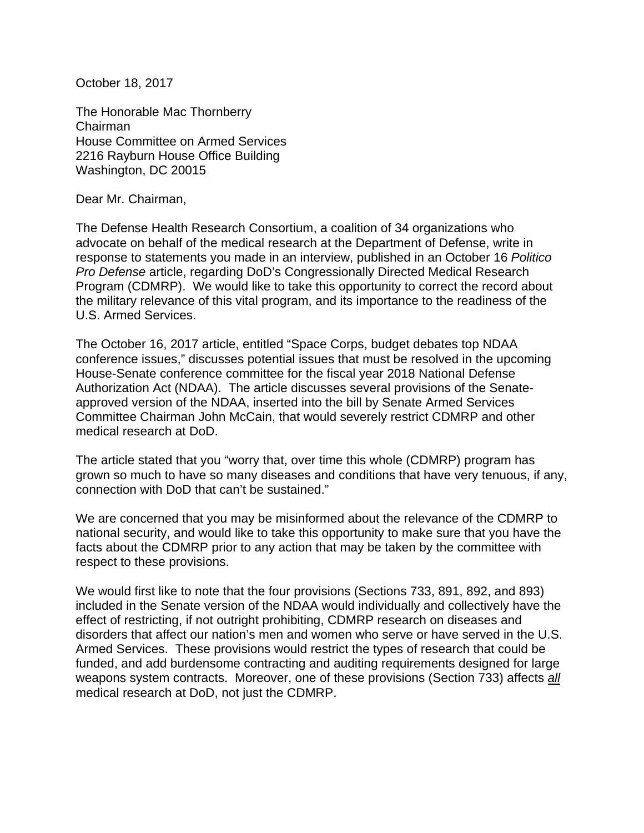October 18, 2017

The Honorable Mac Thornberry Chairman House Committee on Armed Services 2216 Rayburn House Office Building Washington, DC 20015

Dear Mr. Chairman,

The Defense Health Research Consortium, a coalition of 34 organizations who advocate on behalf of the medical research at the Department of Defense, write in response to statements you made in an interview, published in an October 16 *Politico Pro Defense* article, regarding DoD's Congressionally Directed Medical Research Program (CDMRP). We would like to take this opportunity to correct the record about the military relevance of this vital program, and its importance to the readiness of the U.S. Armed Services.

The October 16, 2017 article, entitled "Space Corps, budget debates top NDAA conference issues," discusses potential issues that must be resolved in the upcoming House-Senate conference committee for the fiscal year 2018 National Defense Authorization Act (NDAA). The article discusses several provisions of the Senateapproved version of the NDAA, inserted into the bill by Senate Armed Services Committee Chairman John McCain, that would severely restrict CDMRP and other medical research at DoD.

The article stated that you "worry that, over time this whole (CDMRP) program has grown so much to have so many diseases and conditions that have very tenuous, if any, connection with DoD that can't be sustained."

We are concerned that you may be misinformed about the relevance of the CDMRP to national security, and would like to take this opportunity to make sure that you have the facts about the CDMRP prior to any action that may be taken by the committee with respect to these provisions.

We would first like to note that the four provisions (Sections 733, 891, 892, and 893) included in the Senate version of the NDAA would individually and collectively have the effect of restricting, if not outright prohibiting, CDMRP research on diseases and disorders that affect our nation's men and women who serve or have served in the U.S. Armed Services. These provisions would restrict the types of research that could be funded, and add burdensome contracting and auditing requirements designed for large weapons system contracts. Moreover, one of these provisions (Section 733) affects *all* medical research at DoD, not just the CDMRP.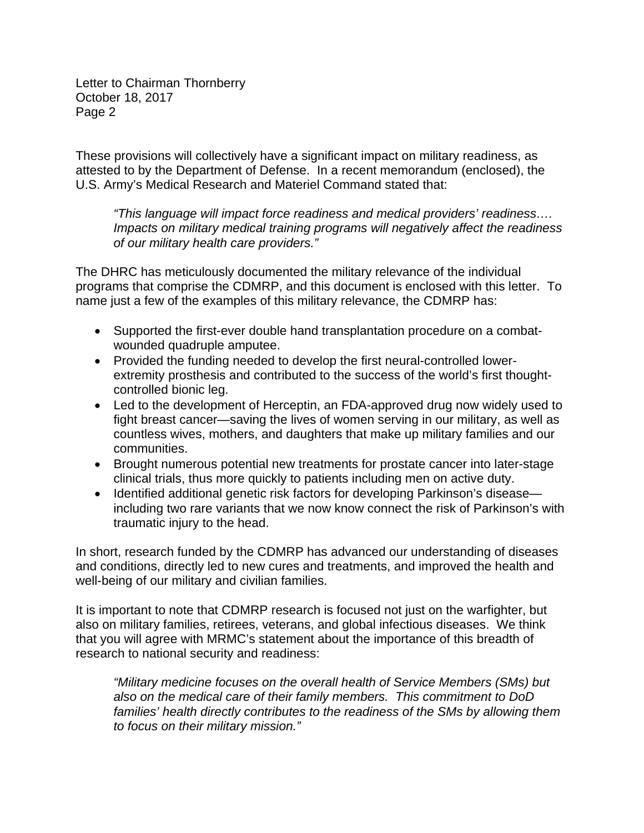Letter to Chairman Thornberry October 18, 2017 Page 2

These provisions will collectively have a significant impact on military readiness, as attested to by the Department of Defense. In a recent memorandum (enclosed), the U.S. Army's Medical Research and Materiel Command stated that:

*"This language will impact force readiness and medical providers' readiness…. Impacts on military medical training programs will negatively affect the readiness of our military health care providers."* 

The DHRC has meticulously documented the military relevance of the individual programs that comprise the CDMRP, and this document is enclosed with this letter. To name just a few of the examples of this military relevance, the CDMRP has:

- Supported the first-ever double hand transplantation procedure on a combatwounded quadruple amputee.
- Provided the funding needed to develop the first neural-controlled lowerextremity prosthesis and contributed to the success of the world's first thoughtcontrolled bionic leg.
- Led to the development of Herceptin, an FDA-approved drug now widely used to fight breast cancer—saving the lives of women serving in our military, as well as countless wives, mothers, and daughters that make up military families and our communities.
- Brought numerous potential new treatments for prostate cancer into later-stage clinical trials, thus more quickly to patients including men on active duty.
- Identified additional genetic risk factors for developing Parkinson's diseaseincluding two rare variants that we now know connect the risk of Parkinson's with traumatic injury to the head.

In short, research funded by the CDMRP has advanced our understanding of diseases and conditions, directly led to new cures and treatments, and improved the health and well-being of our military and civilian families.

It is important to note that CDMRP research is focused not just on the warfighter, but also on military families, retirees, veterans, and global infectious diseases. We think that you will agree with MRMC's statement about the importance of this breadth of research to national security and readiness:

*"Military medicine focuses on the overall health of Service Members (SMs) but also on the medical care of their family members. This commitment to DoD families' health directly contributes to the readiness of the SMs by allowing them to focus on their military mission."*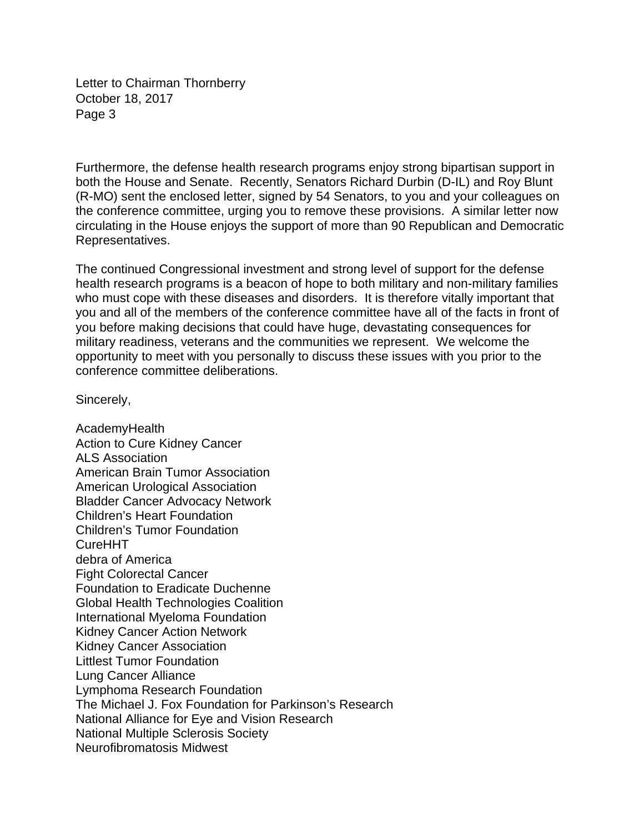Letter to Chairman Thornberry October 18, 2017 Page 3

Furthermore, the defense health research programs enjoy strong bipartisan support in both the House and Senate. Recently, Senators Richard Durbin (D-IL) and Roy Blunt (R-MO) sent the enclosed letter, signed by 54 Senators, to you and your colleagues on the conference committee, urging you to remove these provisions. A similar letter now circulating in the House enjoys the support of more than 90 Republican and Democratic Representatives.

The continued Congressional investment and strong level of support for the defense health research programs is a beacon of hope to both military and non-military families who must cope with these diseases and disorders. It is therefore vitally important that you and all of the members of the conference committee have all of the facts in front of you before making decisions that could have huge, devastating consequences for military readiness, veterans and the communities we represent. We welcome the opportunity to meet with you personally to discuss these issues with you prior to the conference committee deliberations.

Sincerely,

AcademyHealth Action to Cure Kidney Cancer ALS Association American Brain Tumor Association American Urological Association Bladder Cancer Advocacy Network Children's Heart Foundation Children's Tumor Foundation CureHHT debra of America Fight Colorectal Cancer Foundation to Eradicate Duchenne Global Health Technologies Coalition International Myeloma Foundation Kidney Cancer Action Network Kidney Cancer Association Littlest Tumor Foundation Lung Cancer Alliance Lymphoma Research Foundation The Michael J. Fox Foundation for Parkinson's Research National Alliance for Eye and Vision Research National Multiple Sclerosis Society Neurofibromatosis Midwest